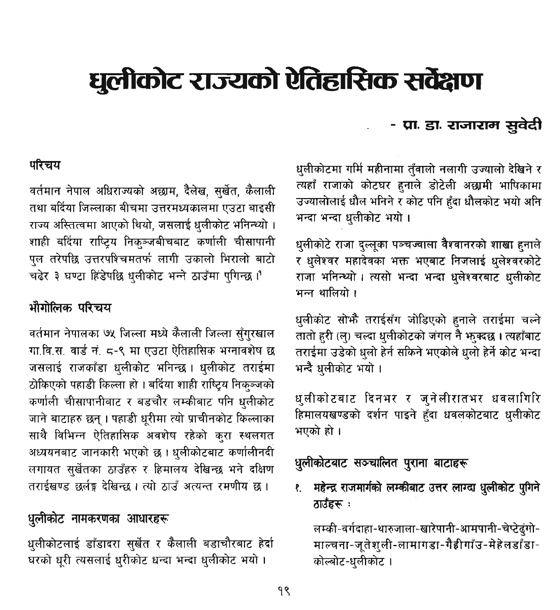# धलीकोट राज्यको ऐतिहासिक सर्वेक्षण

## परिचय

वर्तमान नेपाल अधिराज्यको अछाम, दैलेख, सुर्खेत, कैलाली तथा बर्दिया जिल्लाका बीचमा उत्तरमध्यकालमा एउटा बाइसी राज्य अस्तित्वमा आएको थियो, जसलाई धलीकोट भनिन्थ्यो । शाही बर्दिया राष्ट्रिय निकञ्जबीचबाट कर्णाली चीसापानी पल तरेपछि उत्तरपश्चिमतर्फ लागी उकालो भिरालो बाटो चढेर ३ घण्टा हिंडेपछि धलीकोट भन्ने ठाउँमा पुगिन्छ।

# भौगोलिक परिचय

वर्तमान नेपालका ७५ जिल्ला मध्ये कैलाली जिल्ला सँगरखाल गा.वि.स. वार्ड नं. ८-९ मा एउटा ऐतिहासिक भग्नावशेष छ जसलाई राजकाँडा धलीकोट भनिन्छ। धुलीकोट तराईमा ठोकिएको पहाडी किल्ला हो । बर्दिया शाही राष्ट्रिय निक्ञ्जको कर्णाली चीसापानीबाट र बडचौर लम्कीबाट पनि धलीकोट जाने बाटाहरु छन् । पहाडी धुरीमा त्यो प्राचीनकोट किल्लाका साथै विभिन्न ऐतिहासिक अवशेष रहेको करा स्थलगत अध्ययनबाट जानकारी भएको छ । धुलीकोटबाट कर्णालीनदी लगायत सर्खेतका ठाउँहरु र हिमालय देखिन्छ भने दक्षिण तराईखण्ड छर्लङ देखिन्छ । त्यो ठाउँ अत्यन्त रमणीय छ ।

# धुलीकोट नामकरणका आधारहरू

धुलीकोटलाई डाँडादरा सुर्खेत र कैलाली बडाचौरबाट हेर्दा घरको धुरी त्यसलाई धुरीकोट धन्दा भन्दा धुलीकोट भयो।

# - प्रा. डा. राजाराम सुवेदी

धलीकोटमा गर्मि महीनामा तँवालो नलागी उज्यालो देखिने र त्यहाँ राजाको कोटघर हनाले डोटेली अछामी भाषिकामा उज्यालोलाई धौल भनिने र कोट पनि हँदा धौलकोट भयो अनि भन्दा भन्दा धलीकोट भयो।

धलीकोटे राजा दल्लूका पञ्चज्वाला वैश्वानरको शाखा हनाले र धलेश्वर महादेवका भक्त भएबाट निजलाई धुलेश्वरकोटे राजा भनिन्थ्यो। त्यसो भन्दा भन्दा धलेश्वरबाट धलीकोट भन्न थालियो ।

धुलीकोट सोफै तराईसँग जोडिएको हुनाले तराईमा चल्ने तातो हरी (ल्) चल्दा धुलीकोटको जंगल नै भख्दछ । त्यहाँबाट तराईमा उडेको धलो हेर्न सकिने भएकोले धलो हेर्ने कोट भन्दा भन्दै धलीकोट भयो ।

धुलीकोटबाट दिनभर र जुनेलीरातभर धवलागिरि हिमालयखण्डको दर्शन पाइने हुँदा धवलकोटबाट धुलीकोट भएको हो।

धुलीकोटबाट सञ्चालित पुराना बाटाहरू

१. महेन्द्र राजमार्गको लम्कीबाट उत्तर लाग्दा धुलीकोट पुगिने ठाउँहरू :

लम्की-वर्गदाहा-थारुजाला-खारेपानी-आमपानी-चेप्टेदंगो-माल्चना-जुतेशली-लामागडा-गैहीगाँउ-मेहेलडाँडा-कोल्बोट-धलीकोट।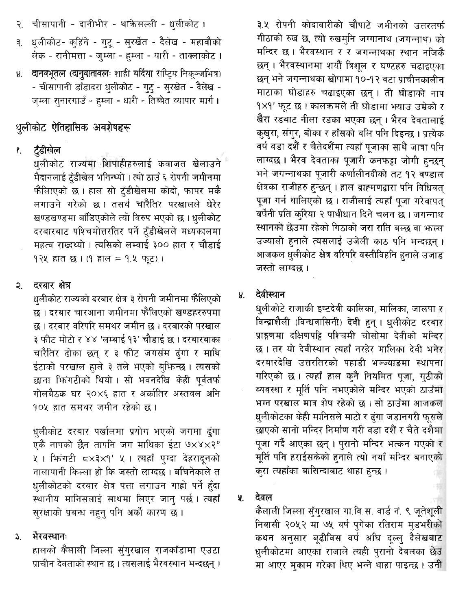- २. चीसापानी दानीभीर थाक्रेसल्ली धुलीकोट ।
- ३. धलीकोट- कहिने गटु सरखेत दैलेख महावौको सेक - रानीमत्ता - जम्ला - हम्ला - यारी - ताक्लाकोट ।
- ४. वानवभूतल (वानुवातावलः शाही बर्दिया राप्टिय निकञ्जभित्र) - चीसापानी डाँडादरा धलीकोट - गटु - सुरखेत - दैलेख -जम्ला सुनारगाउँ - हम्ला - धारी - तिब्बेत व्यापार मार्ग ।

## धूलीकोट ऐतिहासिक अवशेषहरू

टँडीखेल  $\ell$ .

> .<br>धुलीकोट राज्यमा शिपाहीहरुलाई कवाजत खेलाउने मैदानलाई टँडीखेल भनिन्थ्यो । त्यो ठाउँ ६ रोपनी जमीनमा फैलाएको छ। हाल सो टुँडीखेलमा कोदो, फापर मकै लगाउने गरेको छ। तसर्थ चारैतिर परखालले घेरेर खण्डखण्डमा बाँडिएकोले त्यो विरुप भएको छ । धलीकोट दरबारबाट पश्चिमोत्तरतिर पर्ने ट्ंडीखेलले मध्यकालमा महत्व राख्नथ्यो । त्यसिको लम्बाई ३०० हात र चौडाई १२५ हात छ। (१ हाल = १.५ फूट)।

#### दरबार क्षेत्र  $\mathfrak{D}$

धलीकोट राज्यको दरबार क्षेत्र ३ रोपनी जमीनमा फैलिएको छ । दरबार चारआना जमीनमा फैलिएको खण्डहररुपमा छ । दरबार वरिपरि समथर जमीन छ । दरबारको परखाल ३ फीट मोटो र ४४ 'लम्बाई १३' चौडाई छ । दरबारबाका चारैतिर ढोका छन् र ३ फीट जगसंम ढुंगा र माथि ईटाको परखाल हाले ३ तले भएको बफिन्छ। त्यसको छाना फिगटीको थियो। सो भवनदेखि केही पूर्वतर्फ गोलबैठक घर २०×६ हात र अर्कातिर अस्तवल अनि १०५ हात समथर जमीन रहेको छ ।

धलीकोट दरबार पर्खालमा प्रयोग भएको जगमा ढुंगा एकै नापको छैन तापनि जग माथिका ईटा ७×४×२" ५ । फिगटी ८×३×१' ५ । त्यहाँ पुग्दा देहरादुनको नालापानी किल्ला हो कि जस्तो लाग्दछ । बचिनेकाले त धलीकोटको दरबार क्षेत्र पत्ता लगाउन गाहो पर्ने हँदा स्थानीय मानिसलाई साथमा लिएर जान् पर्छ। त्यहाँ सुरक्षाको प्रबन्ध नहन् पनि अर्को कारण छ।

#### भैरवस्थानः  $3<sub>1</sub>$

हालको कैलाली जिल्ला सुंगुरखाल राजकाँडामा एउटा प्राचीन देवताको स्थान छ । त्यसलाई भैरवस्थान भन्दछन् ।

३.४ रोपनी कोदावारीको चौपाटे जमीनको उत्तरतर्फ गीठाको रुख छ, त्यो रुखमुनि जग्गानाथ (जगन्नाथ) को मन्दिर छ । भैरवस्थान र र जगन्नाथका स्थान नजिकै छन् । भैरवस्थानमा शयौं त्रिशुल र घण्टहरु चढाइएका छन भने जगन्नाथका खोपामा १०-१२ वटा प्राचीनकालीन माटाका घोडाहरु चढाइएका छन् । ती घोडाको नाप १×१' फुट छ । कालकमले ती घोडामा भयाउ उम्रेको र खैरा रडबाट नीला रडका भएका छन । भैरव देवतालाई कुखुरा, संगुर, बोका र हाँसको वलि पनि दिइन्छ । प्रत्येक वर्ष वडा दशैं र चैतेदशैंमा त्यहाँ पजाका साथै जात्रा पनि लाग्दछ । भैरव देवताका पजारी कनफद्रा जोगी हन्छन भने जगन्नाथका पुजारी कर्णालीनदीको तट १२ वण्डाल क्षेत्रका राजीहरु हुन्छन् । हाल ब्राह्मणद्वारा पनि विधिवत पूजा गर्न थालिएको छ। राजीलाई त्यहाँ पूजा गरेवापत वर्षेनी प्रति करिया २ पाथीधान दिने चलन छ । जगन्नाथ स्थानको छेउमा रहेको गिठाको जरा राति बल्छ वा फल्ल उज्यालो हनाले त्यसलाई उजेली काठ पनि भन्दछन्। आजकल धुलीकोट क्षेत्र वरिपरि वस्तीविहनि हनाले उजाड जस्तो लाग्दछ ।

### देवीस्थान  $\mathbf{V}$

धुलीकोटे राजाकी इष्टदेवी कालिका, मालिका, जालपा र विन्द्राशैली (विन्धवासिनी) देवी हुन् । धुलीकोट दरबार प्राङ्गणमा दक्षिणपट्टि पश्चिमी चोसोमा देवीको मन्दिर छ । तर यो देवीस्थान त्यहाँ नरहेर मालिका देवी भनेर दरबारदेखि उत्तरतिरको पहाडी भञ्ज्याङमा स्थापना गरिएको छ। त्यहाँ हाल कुनै नियमित पूजा, गुठीको व्यवस्था र मूर्ति पनि नभएकोले मन्दिर भएको ठाउँमा भग्न परखाल मात्र शेष रहेको छ । सो ठाउँमा आजकल धुलीकोटका केही मानिसले माटो र ढुंगा जडानगरी फुसले छाएको सानो मन्दिर निर्माण गरी वडा दशैं र चैते दशैमा पूजा गर्दै आएका छन् । पुरानो मन्दिर भत्कन गएको र मूर्ति पनि हराईसकेको हुनाले त्यो नयाँ मन्दिर बनाएको करा त्यहाँका बासिन्दाबाट थाहा हुन्छ।

#### देवल 某.

कैलाली जिल्ला सुँग्**रखाल गा.वि.स. वार्ड नं. ९ जूतेशुली** निवासी २०५२ मा ७५ वर्ष पुगेका रतिराम मुडभरीको कथन अनुसार बढीविस वर्ष अधि दल्लु दैलेखबाट धुलीकोटमा आएका राजाले त्यही पुरानो देवलका छेउ मा आएर मुकाम गरेका थिए भन्ने थाहा पाइन्छ। उनी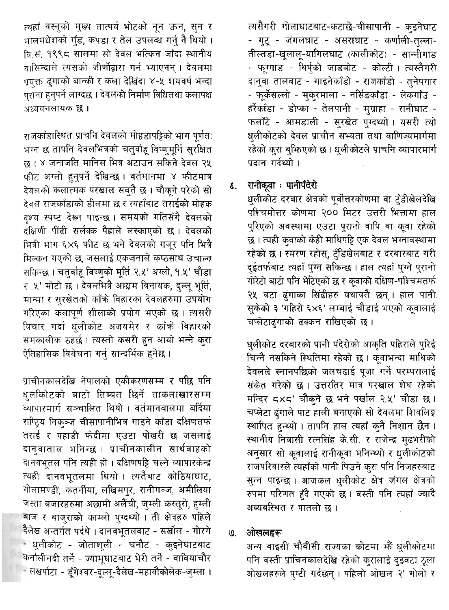त्यहाँ वस्नुको मुख्य तात्पर्य भोटको नून ऊन, सुन र मालमधेशको गुँड, कपडा र तेल उपलब्ध गर्नु नै थियो । वि.सं. १९९८ सालमा सो देवल भत्किन जाँदा स्थानीय वासिन्दाले त्यसको जीर्णोद्वारा गर्न भ्याएनन् । देवलमा प्रयुक्त ढुंगाको बान्की र कला देखिंदा ४-५ शयवर्ष भन्दा पराना हनुपर्ने लाग्दछ । देवलको निर्माण विधितथा कलापक्ष अध्ययनलायक छ ।

राजकाँडास्थित प्राचनि देवलको मोहडापट्टिको भाग पूर्णत: भग्न छ तापनि देवलभित्रको चतुर्वाहू विप्णुमूर्नि सुरक्षित छ । ४ जनाजति मानिस भित्र अटाउन सकिने देवल २५ फीट अग्लो हुनुपर्ने देखिन्छ । वर्तमानमा ४ फीटमात्र देवलको कलात्मक परखाल सबुतै छ । चौकूने परेको सो देवल राजकाँडाको डीलमा छ र त्यहाँबाट तराईको मोहक दश्य स्पप्ट देख्न पाइन्छ। समयको गतिसँगै देवलको दक्षिणी पीढी सर्लक्क पैह्राले लस्काएको छ। देवलको भित्री भाग ६×६ फीट छ भने देवलको गजुर पनि भित्रै मिल्कन गएको छ, जसलाई एकजनाले कष्ठसाथ उचाल्न सकिन्छ। चतुर्वाह विष्णुको मूर्ति २.५' अग्लो, १.५' चौडा र .५' मोटो छ । देवलभित्रै अछाम विनायक, दल्लु भूर्ति, मान्मा र सरखेतको काँके विहारका देवलहरुमा उपयोग गरिएका कलापूर्ण शीलाको प्रयोग भएको छ। त्यसरी विचार गर्दा धुलीकोट अजयमेर र काँक्रे विहारको समकालीक ठहर्छ। त्यस्तो कसरी हुन आयो भन्ने कुरा ऐतिहासिक विवेचना गर्न् सान्दर्भिक हनेछ ।

प्राचीनकालदेखि नेपालको एकीकरणसम्म र पछि पनि धलकोिटको बाटो तिब्बत छिर्ने ताकलाखारसम्म व्यापारमार्ग सञ्चालित थियो । वर्तमानबालमा बर्दिया राष्ट्रिय निकञ्ज चीसापानीभित्र गाइने काँडा दक्षिणतर्फ तराई र पहाडी फेदीमा एउटा पोखरी छ जसलाई दानवाताल भनिन्छ । प्राचीनकालीन सार्थवाहको दानवभूतल पनि त्यही हो। दक्षिणपट्टि चल्ने व्यापारकेन्द्र त्यही दानवभतलमा थियो । त्यतैबाट कोठियाघाट, गोलामण्डी, कतनीया, लखिमपुर, रानीगञ्ज, अमीलिया जस्ता बजारहरुमा अछामी अलैंची, जुम्ली कस्तूरो, हुम्ली बाज र बाजुराको काम्लो पुग्दथ्यो। ती क्षेत्रहरु पहिले दैलेख अन्तर्गत पर्दथे । दानवभूतलबाट - सर्खोल - गोरंगे - धुलीकोट - जोताशुली - चनौट - कुइनेघाटबाट कर्नालीनदी तर्ने - ज्यामूघाटबाट भेरी तर्ने - वावियाचौर - लखर्पाटा - डंगेश्वर-दल्ल्-दैलेख-महावौकोलेक-जम्ला ।

त्यसैगरी गोलाघाटबाट-कटाछे-चीसापानी - कुइनेघाट - गुटू - जंगलघाट - असराघाट - कर्णाली-तुल्ला-तील्तडा-खुलालू-यागिलघाट (कालीकोट) - सान्नीगाड - फुग्गाड - थिर्पको जाडबोट - कोल्टी। त्यस्तैगरी दानुवा तालबाट - गाइनेकाँडो - राजकाँडो - तुनेपगार - फूर्केसल्लो - मुकुरमाला - नर्सिङकाँडा - लेकगाँउ -हर्रेकाँडा - डोप्का - तेलपानी - मुग्राहा - रानीघाट -फलाँटे - आमडाली - सुरखेत पुग्दध्यो। यसरी त्यो धुलीकोटको देवल प्राचीन सभ्यता तथा वाणिज्यमार्गमा रहेको कुरा बुफिएको छ । धुलीकोटले प्राचनि व्यापारमार्ग पदान गर्दथ्यो ।

#### रानीकूवा : पानीपँदेरो ર્દ.

धुलीकोट दरबार क्षेत्रको पूर्वोत्तरकोणमा वा टुँडीखेलदेखि पश्चिमोत्तर कोणमा २०० मिटर उत्तरी भित्तामा हाल पुरिएको अवस्थामा एउटा पुरानो वापि वा कूवा रहेको छ । त्यही कवाको केही माथिपट्टि एक देवल भग्नावस्थामा रहेको छ । स्मरण रहोस्, टुँडिखेलबाट र दरबारबाट गरी दुईतर्फबाट त्यहाँ पुग्न सकिन्छ। हाल त्यहाँ पुग्ने पुरानो गोरेटो बाटो पनि भेटिएको छ र कुवाको दक्षिण-पश्चिमतर्फ २५ वटा ढंगाका सिंढीहरु यथावतै छन्। हाल पानी सुकेको ३ 'गहिरो ६×६' लम्बाई चौडाई भएको कूवालाई चप्लेटाढ्गाको ढक्कन राखिएको छ।

धुलीकोट दरबारको पानी पंदेरोको आकृति पहिराले पुरिई चिन्नै नसकिने स्थितिमा रहेको छ। कूवाभन्दा माथिको देवलले स्नानपछिको जलचढाई पुजा गर्ने परम्परालाई संकेत गरेको छ। उत्तरतिर मात्र परखाल शेष रहेको मन्दिर ८४८' चौकने छ भने पर्खाल २.५' चौडा छ। चप्लेटा ढंगाले पाट हाली बनाएको सो देवलमा शिवलिङ्ग स्थापित हुन्थ्यो । तापनि हाल त्यहाँ कुनै निशान छैन । स्थानीय निवासी रत्नसिंह के.सी. र राजेन्द्र मुढभरीको अनुसार सो कूवालाई रानीकूवा भनिन्थ्यो र धुलीकोटको राजपरिवारले त्यहाँको पानी पिउने कुरा पनि निजहरुबाट सुन्न पाइन्छ । आजकल धुलीकोट क्षेत्र जंगल क्षेत्रको रुपमा परिणत हँदै गएको छ। वस्ती पनि त्यहाँ ज्यादै अव्यवस्थित र पातलो छ ।

#### $\omega$ ओखलहरू

अन्य वाइसी चौबीसी राज्यका कोटमा भैं धुलीकोटमा पनि वस्ती प्राचिनकालदेखि रहेको कुरालाई दुइवटा ठूला ओखलहरुले पृष्टी गर्दछन् । पहिलो ओखल २' गोलो र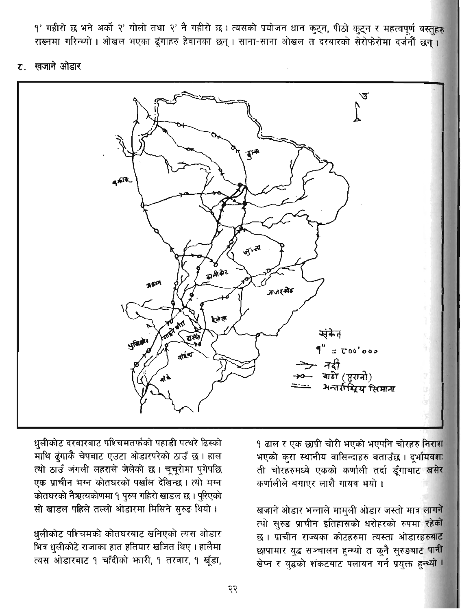१' गहीरो छ भने अर्को २' गोलो तथा २' नै गहीरो छ। त्यसको प्रयोजन धान कुट्न, पीठो कुट्न र महत्वपूर्ण वस्तुहरू राख्नमा गरिन्थ्यो । ओखल भएका दंगाहरु हेवानका छन् । साना-साना ओखल त दरबारको सेरोफेरोमा दर्जनौं छन् ।

### ट. खजाने ओडार



१ ढाल र एक छाप्री चोरी भएको भएपनि चोरहरु निराश भएको कुरा स्थानीय वासिन्दाहरु बताउँछ। दुर्भायवशः ती चोरहरुमध्ये एकको कर्णाली तर्दा डुँगाबाट खसेर कर्णालीले बगाएर लाशै गायव भयो ।

खजाने ओडार भन्नाले मामुली ओडार जस्तो मात्र <mark>लाग</mark>ने त्यो सुरुङ प्राचीन इतिहासको धरोहरको रुपमा रहेको छ। प्राचीन राज्यका कोटहरुमा त्यस्ता ओडारहरुबाट छापामार युद्ध सञ्चालन हुन्थ्यो त कुनै सुरुडबाट पानी खेप्न र युद्धको शंकटबाट पलायन गर्न प्रयुक्त हुन्थ्यो ।

धुलीकोट दरबारबाट पश्चिमतर्फको पहाडी पत्थरे ढिस्को माथि द्रंगाकै चेपबाट एउटा ओडारपरेको ठाउँ छ। हाल त्यो ठाउँ जगली लहराले जेलेको छ । चूचूरोमा पुगेपछि एक प्राचीन भग्न कोतघरको पर्खाल देखिन्छ। त्यो भग्न कोतघरको नैऋत्यकोणमा १ पुरुप गहिरो खाडल छ । पुरिएको सो खाडल पहिले तल्लो ओडारमा मिसिने सुरुड थियो।

धुलीकोट पश्चिमको कोतघरबाट खनिएको त्यस ओडार भित्र धुलीकोटे राजाका हात हतियार खजित थिए । हालैमा त्यस ओडारबाट १ चाँदीको भारी, १ तरवार, १ खुँडा,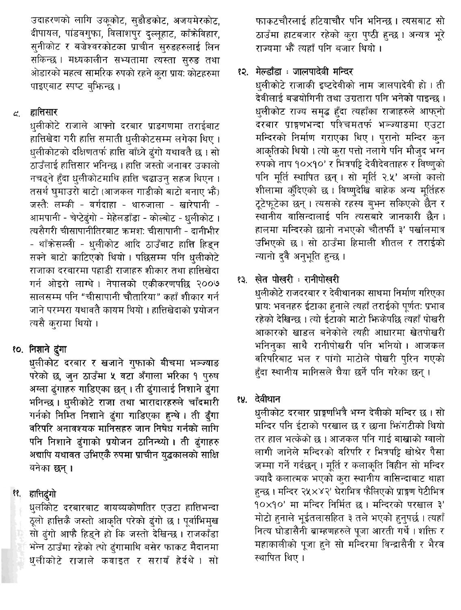उदाहरणको लागि उकुकोट, सडौडकोट, अजयमेरकोट, दीपायल, पांडवगुफा, विलाशपुर दल्लुहाट, काँकेविहार, सुनीकोट र बजेश्वरकोटका प्राचीन सुरुडहरुलाई लिन सकिन्छ। मध्यकालीन सभ्यतामा त्यस्ता सुरुङ तथा ओडारको महत्व सामरिक रुपको रहने कुरा प्राय: कोटहरुमा पाइएबाट स्पप्ट बफिन्छ ।

#### द्यातिसार  $\mathfrak{C}^+$

धलीकोटे राजाले आफ्नो दरबार प्राङगणमा तराईबाट हात्तिखेदा गरी हात्ति समाती धुलीकोटसम्म लगेका थिए । धुलीकोटको दक्षिणतर्फ हात्ति बाँध्ने ढुंगो यथावतै छ । सो ठाउँलाई हात्तिसार भनिन्छ । हात्ति जस्तो जनावर उकालो नचढ्ने हँदा धलीकोटमाथि हात्ति चढाउन् सहज थिएन । तसर्थ घमाउरो बाटो (आजकल गाडीको बाटो बनाए भैं) जस्तै: लम्की - वर्गदाहा - थारुजाला - खारेपानी -आमपानी - चेप्टेढ्ंगो - मेहेलडाँडा - कोल्बोट - धुलीकोट । त्यसैगरी चीसापानीतिरबाट क्रमशः चीसापानी - दानीभीर - थाँक्रेसल्ली - धुलीकोट आदि ठाउँबाट हात्ति हिडुन सक्ने बाटो काटिएको थियो। पछिसम्म पनि धुलीकोटे राजाका दरबारमा पहाडी राजाहरु शीकार तथा हात्तिखेदा गर्न ओइरो लाग्थे। नेपालको एकीकरणपछि २००७ सालसम्म पनि "चीसापानी चौतारिया" कहाँ शीकार गर्न जाने परम्परा यथावतै कायम थियो । हात्तिखेदाको प्रयोजन त्यसै करामा थियो ।

# १०. निशाने दुंगा

धुलीकोट दरबार र खजाने गुफाको बीचमा भञ्ज्याङ परेको छ, जुन ठाउँमा ५ वटा अँगाला भरिका १ पुरुष अग्ला ढुंगाहरु गाडिएका छन् । ती ढुंगालाई निशाने ढुंगा भनिन्छ। धलीकोटे राजा तथा भारादारहरुले चाँदमारी गर्नको निम्ति निशाने ढुंगा गाडिएका हन्थे । ती ढुँगा वरिपरि अनावश्यक मानिसहरु जान निषेध गर्नको लागि पनि निशाने ढंगाको प्रयोजन ठानिन्थ्यो। ती ढुंगाहरु अद्यापि यथावत उभिएकै रुपमा प्राचीन युद्धकालको साक्षि बनेका छन्।

### हात्तिदंगो ११.

धुलकोिट दरबारबाट वायव्यकोणतिर एउटा हात्तिभन्दा ठूलो हात्तिकै जस्तो आकृति परेको द्वंगो छ । पूर्वाभिमुख सो ढुंगो आफै हिड्ने हो कि जस्तो देखिन्छ । राजकाँडा भन्न ठाउँमा रहेको त्पो ढुंगामाथि बसेर फाकट मैदानमा धुलीकोटे राजाले कवाइत र सरायँ हेर्दथे । सो फाकटचौरलाई हटियाचौर पनि भनिन्छ। त्यसबाट सो ठाउँमा हाटबजार रहेको कुरा पुष्ठी हुन्छ । अन्यत्र भूरे राज्यमा भें त्यहाँ पनि बजार थियो ।

# १२. मेल्डाँडा : जालपादेवी मन्दिर

धलीकोटे राजाकी इष्टदेवीको नाम जालपादेवी हो। ती देवीलाई बज्रयोगिनी तथा उग्रतारा पनि भनेको पाइन्छ । धुलीकोट राज्य समुद्ध हुँदा त्यहाँका राजाहरुले आफुनो दरबार प्राङ्गणभन्दा पश्चिमतर्फ भञ्ज्याङमा एउटा मन्दिरको निर्माण गराएका थिए। पुरानो मन्दिर कुन आकृतिको थियो । त्यो करा पत्तो नलागे पनि मौजुद भग्न रुपको नाप १०×१०' र भित्रपट्टि देवीदेवताहरु र विष्णको पनि मूर्ति स्थापित छन्। सो मूर्ति २.५' अग्लो कालो शीलामा क्ँदिएको छ। विष्णुदेखि बाहेक अन्य मूर्तिहरु ट्टेफुटेका छन् । त्यसको रहस्य बभन सकिएको छैन र स्थानीय वासिन्दालाई पनि त्यसबारे जानकारी छैन। हालमा मन्दिरको छानो नभएको चौतर्फी ३' पर्खालमात्र उभिएको छ। सो ठाउँमा हिमाली शीतल र तराईको न्यानो दवै अनुभूति हुन्छ ।

# १३. खेत पोखरी : रानीपोखरी

धुलीकोटे राजदरबार र देवीथानका साथमा निर्माण गरिएका प्राय: भवनहरु ईटाका हनाले त्यहाँ तराईको पूर्णत: प्रभाव रहेको देखिन्छ । त्यो ईटाको माटो फिकेपछि त्यहाँ पोखरी आकारको खाडल बनेकोले त्यही आधारमा खेतपोखरी भनिनुका साथै रानीपोखरी पनि भनियो। आजकल वरिपरिबाट भल र पांगो माटोले पोखरी परिन गएको हँदा स्थानीय मानिसले घैया छर्ने पनि गरेका छन्।

# १४. देवीथान

धुलीकोट दरबार प्राङ्गणभित्रै भग्न देवीको मन्दिर छ । सो मन्दिर पनि ईटाको परखाल छ र छाना फिंगटीको थियो तर हाल भत्केको छ । आजकल पनि गाई बाखाको ग्वालो लागी जानेले मन्दिरको वरिपरि र भित्रपट्टि खोश्रेर पैसा जम्मा गर्ने गर्दछन् । मूर्ति र कलाकृति विहीन सो मन्दिर ज्यादै कलात्मक भएको कुरा स्थानीय वासिन्दाबाट थाहा हुन्छ । मन्दिर २५×४२' घेराभित्र फैलिएको प्राङ्गण पेटीभित्र 90×90' मा मन्दिर निर्मित छ। मन्दिरको परखाल ३' मोटो हुनाले भूईतलासहित ३ तले भएको हुनुपर्छ। त्यहाँ नित्य घोडासैनी ब्राम्हणहरुले पूजा आरती गर्थे । शक्ति र महाकालीको पूजा हुने सो मन्दिरमा विन्द्रासैनी र भैरव स्थापित थिए।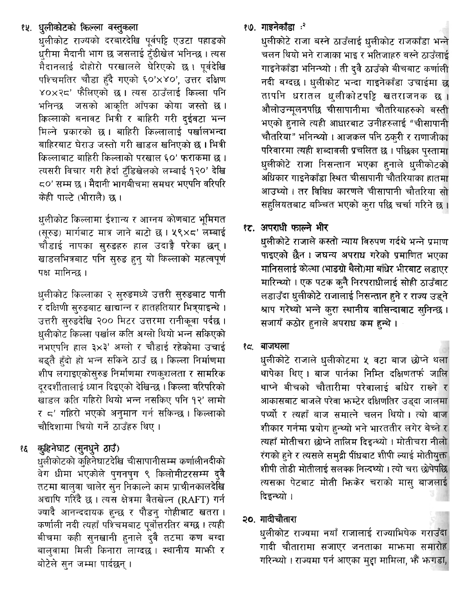# १५. धुलीकोटको किल्ला वस्तुकला

धलीकोट राज्यको दरबारदेखि पूर्वपट्टि एउटा पहाडको धरीमा मैदानी भाग छ जसलाई टँडीखेल भनिन्छ । त्यस मैदानलाई दोहोरो परखालले घेरिएको छ। पर्वदेखि पश्चिमतिर चौडा हँदै गएको ६०'x४०', उत्तर दक्षिण ४० $\times$ २८' फैलिएको छ । त्यस ठाउँलाई किल्ला पनि भनिन्छ जसको आकति आँपका कोया जस्तो छ। किल्लाको बनावट भित्री र बाहिरी गरी दईवटा भन्न मिल्ने प्रकारको छ। बाहिरी किल्लालाई पर्खालभन्दा बाहिरबाट घेराउ जस्तो गरी खाडल खनिएको छ । भित्री किल्लाबाट बाहिरी किल्लाको परखाल ६०' फराकमा छ । त्यसरी विचार गरी हेर्दा ट्रँडिखेलको लम्बाई १२०' देखि ८०' सम्म छ । मैदानी भागबीचमा समथर भएपनि वरिपरि केही पाल्टे (भीरालै) छ ।

धलीकोट किल्लामा ईशान्य र आग्नय कोणबाट भूमिगत (सुरुड़) मार्गबाट मात्र जाने बाटो छ। ५९×८' लम्बाई चौडाई नापका सुरुडहरु हाल उदाङ्गै परेका छन् । खाडलभित्रबाट पनि सरुड हुन यो किल्लाको महत्वपूर्ण पक्ष मानिन्छ ।

धुलीकोट किल्लाका २ सुरुडमध्ये उत्तरी सुरुडबाट पानी र दक्षिणी सरुडबाट खाद्यान्न र हातहतियार भित्र्याइन्थे । उत्तरी सुरुडदेखि २०० मिटर उत्तरमा रानीकुवा पर्दछ । धलीकोट किल्ला पर्खाल कति अग्लो थियो भन्न सकिएको नभएपनि हाल ३×३' अग्लो र चौडाई रहेकोमा उचाई बढ्तै हुँदो हो भन्न सकिने ठाउँ छ । किल्ला निर्माणमा शीप लगाइएकोसुरुङ निर्माणमा रणकुशलता र सामरिक दरदर्शीतालाई ध्यान दिइएको देखिन्छ । किल्ला वरिपरिको खाडल कति गहिरो थियो भन्न नसकिए पनि १२' लामो र ८' गहिरो भएको अनुमान गर्न सकिन्छ। किल्लाको चौदिशामा चियो गर्ने ठाउँहरु थिए।

# १६ कुहिनेघाट (सुनधुने ठाउँ)

धुलीकोटको कुहिनेघाटदेखि चीसापानीसम्म कर्णालीनदीको वेग धीमा भएकोले पुगनपुग ९ किलोमीटरसम्म दुवै तटमा बालुवा चालेर सुन निकाल्ने काम प्राचीनकालदेखि अद्यापि गरिंदै छ । त्यस क्षेत्रमा वैतखेल्न (RAFT) गर्न ज्यादै आनन्ददायक हुन्छ र पौडनु गोहीबाट खतरा। कर्णाली नदी त्यहाँ पश्चिमबाट पूर्वोत्तरतिर बग्छ । त्यही बीचमा कही सुनखानी हुनाले दुवै तटमा कण बग्दा बालुवामा मिली किनारा लाग्दछ। स्थानीय मार्फा र बोटेले सन जम्मा पार्दछन् ।

## १७. गाइनेकॉंडा ः<sup>२</sup>

धलीकोटे राजा बस्ने ठाउँलाई धलीकोट राजकाँडा भन्ने चलन थियो भने राजाका भाइ र भतिजाहरु बस्ने ठाउँलाई गाइनेकाँडा भनिन्थ्यो । ती दवै ठाउँको बीचबाट कर्णाली नदी बग्दछ। धलीकोट भन्दा गाइनेकाँडा उचाईमा छ तापनि धरातल धुलीकोटपट्टि खतराजनक छ । औलोउन्मुलनपछि चीसापानीमा चौतरियाहरुको बस्ती भएको हनाले त्यही आधारबाट उनीहरुलाई "चीसापानी चौतरिया" भनिन्थ्यो । आजकल पनि ठकरी र राणाजीका परिवारमा त्यही शब्दावली प्रचलित छ । पछिका पुस्तामा धुलीकोटे राजा निसन्तान भएका हुनाले धुलीकोटको अधिकार गाडनेकाँडा स्थित चीसापानी चौतरियाका हातमा आउथ्यो । तर विविध कारणले चीसापानी चौतरिया सो सहलियतबाट बञ्चित भएको करा पछि चर्चा गरिने छ ।

# १ट. अपराधी फाल्ने भीर

धलीकोटे राजाले कस्तो न्याय विरुपण गर्दथे भन्ने प्रमाण पाइएको छैन। जघन्य अपराध गरेको प्रमाणित भएका मानिसलाई कोल्था (भाडग्रो थैलो)मा बाँधेर भीरबाट लडाएर मारिन्थ्यो । एक पटक कनै निरपराधीलाई सोही ठाउँबाट लडाउँदा धुलीकोटे राजालाई निसन्तान हुने र राज्य उड्ने श्राप गरेथ्यो भन्ने करा स्थानीय वासिन्दाबाट सनिन्छ। सजायँ कठोर हुनाले अपराध कम हन्थे ।

### १८. बाजथला

धलीकोटे राजाले धलीकोटमा ५ वटा बाज छोप्ने थला थापेका थिए। बाज पार्नका निम्ति दक्षिणतर्फ जालि थाप्ने बीचको चौतारीमा परेवालाई बाँधेर राख्ने र आकासबाट बाजले परेवा फम्टेर दक्षिणतिर उडदा जालमा पर्थ्यो र त्यहाँ बाज समात्ने चलन थियो। त्यो बाज शीकार गर्नमा प्रयोग हुन्थ्यो भने भारततीर लगेर बेच्ने र त्यहाँ मोतीचरा छोप्ने तालिम दिइन्थ्यो । मोतीचरा नीलो रंगको हुने र त्यसले समुद्री पींधबाट शीपी ल्याई मोतीयुक्त शीपी तोडी मोतीलाई सलक्क निल्दथ्यो । त्यो चरा छोपेपछि त्यसका पेटबाट मोती फिकेर चराको मासु बाजलाई दिइन्थ्यो ।

# २०. गादीचौतारा

धुलीकोट राज्यमा नयाँ राजालाई राज्याभिषेक गराउँदा गादी चौतारामा सजाएर जनताका माफमा समारोह गरिन्थ्यो । राज्यमा पर्न आएका मुद्दा मामिला, भैँ भन्गडा,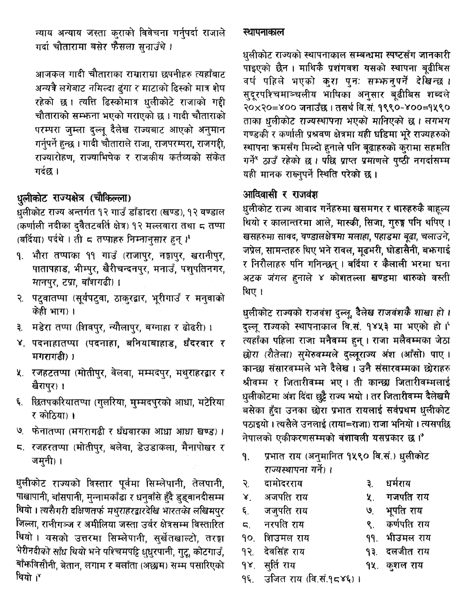न्याय अन्याय जस्ता कुराको विवेचना गर्नुपर्दा राजाले गर्दा चौतारामा बसेर फैसला सुनाउँथे।

आजकल गादी चौताराका राम्राराम्रा छपनीहरु त्यहाँबाट अन्यत्रै लगेबाट नमिल्दा ढुंगा र माटाको ढिस्को मात्र शेष रहेको छ। त्यत्ति ढिस्कोमात्र धलीकोटे राजाको गद्दी चौताराको सम्भन्ना भएको गराएको छ। गादी चौताराको परम्परा जुम्ला दुल्लू दैलेख राज्यबाट आएको अनुमान गर्नुपर्ने हुन्छ । गादी चौताराले राजा, राजपरम्परा, राजगद्दी, राज्यारोहण, राज्याभिषेक र राजकीय कर्तव्यको संकेत गर्दछ ।

### धुलीकोट राज्यक्षेत्र (चौकिल्ला)

धलीकोट राज्य अन्तर्गत १२ गाउँ डाँडादरा (खण्ड), १२ वण्डाल (कर्णाली नदीका दुवैतटवर्ति क्षेत्र) १२ मल्लवारा तथा ८ तप्पा (बर्दिया) पर्दथे । ती ८ तप्पाहरु निम्नानुसार हुन्।'

- १. भौरा तप्पाका ११ गाउँ (राजापुर, नङ्गापुर, खरानीपुर, पातापहाड, भीम्पुर, खैरीचन्दनपुर, मनाउँ, पशुपतिनगर, मानपुर, टप्रा, बाँशगढी)।
- २. पट्वातप्पा (सूर्यपट्वा, ठाकुरद्वार, भूरीगाउँ र मनुवाको केही भाग) ।
- ३. मडेरा तप्पा (शिवपुर, न्यौलापुर, बग्नाहा र ढोढरी) ।
- ४. पदनाहातप्पा (पदनाहा, बनियाबाहाड, धँदरवार र मगरागढी) ।
- ५. रजहटतप्पा (मोतीपुर, वेलवा, मम्मदपुर, मथुराहरद्वार र खैरापुर) ।
- ६. छितपकरियातप्पा (गुलरिया, मुम्मदपुरको आधा, मटेरिया र कोठिया) ।
- ७. फेनातप्पा (मगरागढी र धँधवारका आधा आधा खण्ड)।
- जमनी) ।

धुलीकोट राज्यको विस्तार पूर्वमा सिम्लेपानी, तेलपानी, पाखापानी, बाँसपानी, मुन्नामकाँडा र धनुवाँसे हुँदै डुड्वानदीसम्म थियो। त्यसैगरी दक्षिणतर्फ मथराहरद्वारदेखि भारतको लखिमपर जिल्ला, रानीगञ्ज र अमीलिया जस्ता उर्वर क्षेत्रसम्म विस्तारित थियो । यसको उत्तरमा सिम्लेपानी, सुर्खेतखाल्टो, तरङ्गा भेरीनदीको साँध थियो भने पश्चिमपट्टि धुधुरपानी, गुटू, कोटगाउँ, बाँफविसौनी, बेतान, लगाम र बलाँता (अछाम) सम्म पसारिएको थियो ।\*

### स्थापनाकाल

धलीकोट राज्यको स्थापनाकाल सम्बन्धमा स्पष्टसँग जानकारी .<br>पाइएको छैन । माथिकै प्रशंगवश यसको स्थापना बढीबिस वर्ष पहिले भएको कुरा पुनः सम्भन्नपुर्ने देखिन्छ । सदरपश्चिमाञ्चलीय भाषिका अनुसार बढीबिस शब्दले २०x२०=४०० जनाउँछ। तसर्थ वि.सं. १९९०-४००=१५९० ताका धलीकोट राज्यस्थापना भएको मानिएको छ। लगभग गण्डकी र कर्णाली प्रश्रवण क्षेत्रमा यही घडिमा भूरे राज्यहरुको स्थापना कमसँग मिल्दो हुनाले पनि बूढाहरुको कुरामा सहमति गर्ने ठाउँ रहेको छ। पछि प्राप्त प्रमाणले पूष्ठी नगर्दासम्म यही मानक राख्नुपर्ने स्थिति परेको छ।

## आदिवासी र राजवंश

धुलीकोट राज्य आवाद गर्नेहरुमा खसमगर र थारुहरुकै बाहुल्य थियो र कालान्तरमा आले, मास्की, सिजा, गुरुङ्ग पनि थपिए। खसहरुमा सावद, वण्डालक्षेत्रमा मलाहा, पहाडमा बूढा, चलाउने, जप्रेल, सामन्तहरु थिए भने रावल, मुढभरी, घोडासैनी, बफगाई र निरौलाहरु पनि गनिन्छन् । बर्दिया र कैलाली भरमा घना अटक जंगल हुनाले ४ कोशतल्ला खण्डमा थारुको वस्ती थिए।

धुलीकोट राज्यको राजवंश दुल्लु, दैलेख राजवंशकै शाखा हो । दल्लू राज्यको स्थापनाकाल वि.सं. १४५३ मा भएको हो । त्यहाँका पहिला राजा मनैवम्म हुन् । राजा मलैवम्मका जेठा छोरा (रौतेला) सुमेरुवम्मले दुल्लुराज्य अंश (आँसो) पाए। कान्छा संसारवम्मले भने दैलेख । उनै संसारवम्मका छोराहरु श्रीवम्म र जितारीवम्म भए। ती कान्छा जितारीवम्मलाई धुलीकोटमा अंश दिंदा छुट्टै राज्य भयो । तर जितारीवम्म दैलेखमै बसेका हुँदा उनका छोरा प्रभात रायलाई सर्वप्रथम धुलीकोट पठाइयो । त्यसैले उनलाई (राया=राजा) राजा भनियो । त्यसपछि नेपालको एकीकरणसम्मको वंशावली यसप्रकार छ।'

- प्रभात राय (अनुमानित १५९० वि.सं.) धुलीकोट ۹. राज्यस्थापनां गर्ने) ।
- दामोदरराय २.
- धर्मराय ₹.
- अजपति राय Χ.
- Х.
- जजपति राय ६. नरपति राय  $\overline{a}$ .

 $92.$ 

- 
- शिउमल राय 90.
	- देवसिंह राय
		-
- सर्ति राय  $\delta$
- उजित राय (वि.सं.१८४६)। ٩ξ.
- गजपति राय
- भूपति राय ৩.
- कर्णपति राय ९ $\mathcal{L}$
- ११. भीउमल राय
- <u>१३. दलजीत राय</u>
- १५. कशल राय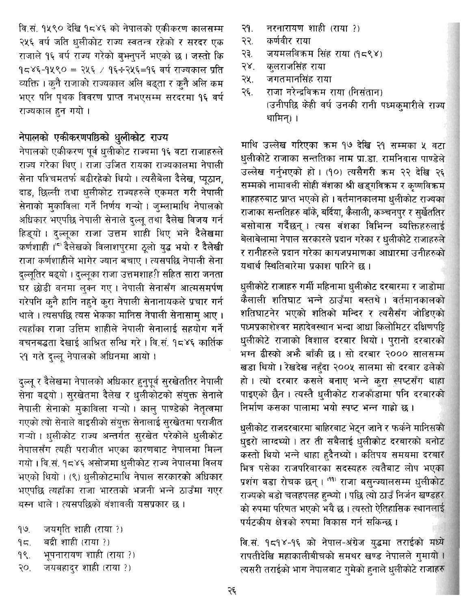वि.सं. १५९० देखि १८४६ को नेपालको एकीकरण कालसम्म २५६ वर्ष जति धुलीकोट राज्य स्वतन्त्र रहेको र सरदर एक राजाले १६ वर्ष राज्य गरेको बुभनुपर्ने भएको छ। जस्तो कि १८४६-१५९० = २५६ / १६÷२५६=१६ वर्ष राज्यकाल प्रति व्यक्ति । क्**नै राजाको राज्यकाल अलि बढ्**ता र क्**नै अलि** कम भएर पनि पृथक विवरण प्राप्त नभएसम्म सरदरमा १६ वर्ष राज्यकाल हुन गयो।

# नेपालको एकीकरणपछिको धुलीकोट राज्य

नेपालको एकीकरण पूर्व धुलीकोट राज्यमा १६ वटा राजाहरुले राज्य गरेका थिए । राजा उजित रायका राज्यकालमा नेपाली सेना पश्चिमतर्फ बढीरहेको थियो। त्यसैबेला दैलेख, प्युठान, दाङ, छिल्ली तथा धलीकोट राज्यहरुले एकमत गरी नेपाली सेनाको मुकाविला गर्ने निर्णय गऱ्यो । जुम्लामाथि नेपालको अधिकार भएपछि नेपाली सेनाले दुल्लू तथा दैलेख विजय गर्न हिड्यो। दल्लूका राजा उत्तम शाही थिए भने दैलेखमा कर्णशाही।'5 दैलेखको विलाशपुरमा ठूलो युद्ध भयो र दैलेखी राजा कर्णशाहीले भागेर ज्यान बचाए। त्यसपछि नेपाली सेना दल्लूतिर बढ्यो । दल्लूका राजा उत्तमशाह?ी सहित सारा जनता घर छोडी वनमा लक्न गए। नेपाली सेनासँग आत्मसमर्पण गरेपनि कुनै हानि नहुने कुरा नेपाली सेनानायकले प्रचार गर्न थाले । त्यसपछि त्यस भेकका मानिस नेपाली सेनासाम आए । त्यहाँका राजा उत्तिम शाहीले नेपाली सेनालाई सहयोग गर्ने वचनबद्धता देखाई आश्रित सन्धि गरे। वि.सं. १८४६ कार्तिक २१ गते दल्लु नेपालको अधिनमा आयो ।

दुल्लू र दैलेखमा नेपालको अधिकार हुनुपूर्व सुरखेततिर नेपाली सेना बढ्यो । सुरखेतमा दैलेख र धुलीकोटको संयुक्त सेनाले नेपाली सेनाको मुकाविला गऱ्यो। कालु पाण्डेको नेतृत्वमा गएको त्यो सेनाले वाइसीको संयुक्त सेनालाई सुरखेतमा पराजीत गऱ्यो । धलीकोट राज्य अन्तर्गत सुरखेत परेकोले धलीकोट नेपालसँग त्यही पराजीत भएका कारणबाट नेपालमा मिल्न गयो । वि.सं. १८४६ असोजमा धुलीकोट राज्य नेपालमा विलय भएको थियो। (९) धलीकोटमाथि नेपाल सरकारको अधिकार भएपछि त्यहाँका राजा भारतको भजनी भन्ने ठाउँमा गएर बस्न थाले । त्यसपछिको वंशावली यसप्रकार छ ।

- जयगति शाही (राया ?)  $99.$
- बद्री शाही (राया ?)  $95.$
- भूपनारायण शाही (राया ?)  $98.$
- जयबहादर शाही (राया ?)  $20.$
- नरनारायण शाही (राया ?)  $-59.$
- कर्णवीर राया २२.
- जयमलविकम सिंह राया (१८९४) २३.
- कलराजसिंह राया २४.
- जगतमानसिंह राया २५.
- राजा नरेन्द्रविक्रम राया (निसंतान) २६. (उनीपछि केही वर्ष उनकी रानी पध्मकुमारीले राज्य थामिन) ।

माथि उल्लेख गरिएका क्रम १७ देखि २१ सम्मका ५ वटा धुलीकोटे राजाका सन्ततिका नाम प्रा.डा. रामनिवास पाण्डेले उल्लेख गर्नुभएको हो। (१०) त्यसैगरी कम २२ देखि २६ सम्मको नामावली सोही वंशका श्री खडुगविकम र कृष्णविक्रम शाहहरुबाट प्राप्त भएको हो । वर्तमानकालमा धुलीकोट राज्यका राजाका सन्ततिहरु बाँके, बर्दिया, कैलाली, कञ्चनपुर र सुर्खेततिर बसोबास गर्दैछन् । त्यस वंशका विभिन्न व्यक्तिहरुलाई बेलाबेलामा नेपाल सरकारले प्रदान गरेका र धुलीकोटे राजाहरुले र रानीहरुले प्रदान गरेका कागजप्रमाणका आधारमा उनीहरुको यथार्थ स्थितिबारेमा प्रकाश पारिने छ ।

धुलीकोटे राजाहरु गर्मी महिनामा धुलीकोट दरबारमा र जाडोमा कैलाली शतिघाट भन्ने ठाउँमा बस्तथे। वर्तमानकालको शतिघाटनेर भएको शतिको मन्दिर र त्यसैसँग जोडिएको पध्मप्रकाशेश्वर महादेवस्थान भन्दा आधा किलोमिटर दक्षिणपट्टि धुलीकोटे राजाको विशाल दरबार थियो। पुरानो दरबारको भग्न ढीस्को अभै बाँकी छ। सो दरबार २००० सालसम्म खड़ा थियो। रेखदेख नहुँदा २००५ सालमा सो दरबार ढलेको हो। त्यो दरबार कसले बनाए भन्ने करा स्पष्टसँग थाहा पाइएको छैन। त्यस्तै धलीकोट राजकाँडामा पनि दरबारको निर्माण कसका पालामा भयो स्पष्ट भन्न गाढो छ ।

धुलीकोट राजदरबारमा बाहिरबाट भेट्न जाने र फर्कने मानिसको धुइरो लाग्दथ्यो । तर ती सबैलाई धुलीकोट दरबारको बनोट कस्तो थियो भन्ने थाहा हुदैनथ्यो । कतिपय समयमा दरबार भित्र पसेका राजपरिवारका सदस्यहरु त्यतैबाट लोप भएका प्रशंग वडा रोचक छन्। (11) राजा बस्न्ज्यालसम्म धुलीकोट राज्यको बडो चलहपलह हुन्थ्यो । पछि त्यो ठाउँ निर्जन खण्डहर को रुपमा परिणत भएको भयै छ । त्यस्तो ऐतिहासिक स्थानलाई पर्यटकीय क्षेत्रको रुपमा विकास गर्न सकिन्छ ।

वि.सं. १८१४-१६ को नेपाल-अंग्रेज युद्धमा तराईको मध्ये रापतीदेखि महाकालीबीचको समथर खण्ड नेपालले गुमायो। त्यसरी तराईको भाग नेपालबाट गुमेको हुनाले धुलीकोटे राजाहरु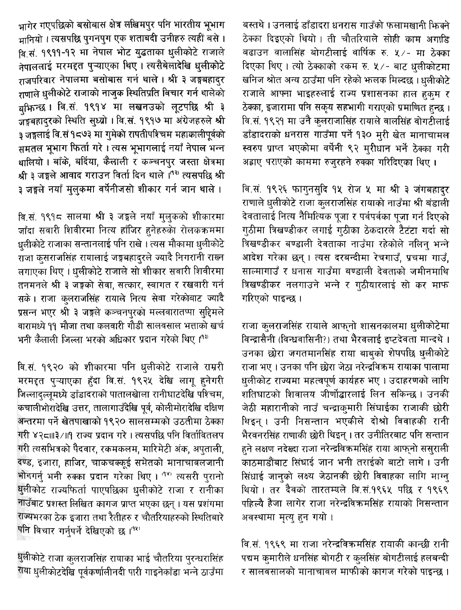बस्तथे । उनलाई डाँडादरा धनरास गाउँको फलामखानी फिक्ने ठेक्का दिइएको थियो। ती चौतरियाले सोही काम अगाडि बढाउन वालासिंह बोगटीलाई वार्षिक रु. ५/- मा ठेक्का दिएका थिए। त्यो ठेक्काको रकम रु. ५/- बाट धलीकोटमा खनिज श्रोत अन्य ठाउँमा पनि रहेको भालक मिल्दछ ।धलीकोटे राजाले आफ्ना भाइहरुलाई राज्य प्रशासनका हाल हुकुम र ठेक्का, इजारामा पनि सकृय सहभागी गराएको प्रमाणित हुन्छ । वि.सं. १९२१ मा उनै कलराजासिंह रायाले वालसिंह वोगटीलाई डाँडादराको धनरास गाउँमा पर्ने १३० मरी खेत मानाचामल स्वरुप प्राप्त भएकोमा वर्षेनी ९२ मरीधान भर्ने ठेक्का गरी अह्राए पराएको काममा रुजरहने रुक्का गरिदिएका थिए।

वि.सं. १९२६ फागुनसुदि १५ रोज ५ मा श्री ३ जंगबहादुर राणाले धुलीकोटे राजा कुलराजसिंह रायाको नाउँमा श्री बंडाली देवतालाई नित्य नैमित्यिक पूजा र पर्वपर्वका पूजा गर्न दिएको गठीमा त्रिखण्डीकर लगाई गठीका ठेकदारले टैटंटा गर्दा सो त्रिखण्डीकर बण्डाली देवताका नाउँमा रहेकोले नलिन भन्ने आदेश गरेका छन्। त्यस दरबन्दीमा रेचगाउँ, प्रचमा गाउँ, साल्मागाउँ र धनास गाउँमा बण्डाली देवताको जमीनमाथि त्रिखण्डीकर नलगाउने भन्ने र गठीयारलाई सो कर माफ गरिएको पाइन्छ ।

राजा कुलराजसिंह रायाले आफुनो शासनकालमा धलीकोटेमा विन्द्रासैनी (विन्धवासिनी?) तथा भैरवलाई इष्टदेवता मान्दथे । उनका छोरा जगतमानसिंह राया बाबको शेषपछि धलीकोटे राजा भए । उनका पनि छोरा जेठा नरेन्द्रविक्रम रायाका पालामा धुलीकोट राज्यमा महत्वपूर्ण कार्यहरु भए । उदाहरणको लागि शतिघाटको शिवालय जीर्णोद्धारलाई लिन सकिन्छ । उनकी जेठी महारानीको नाउँ चन्द्राकुमारी सिंघाईका राजाकी छोरी थिइन् । उनी निसन्तान भएकीले दोश्रो विवाहकी रानी भैरवनरसिंह राणाकी छोरी थिइन् । तर उनीतिरबाट पनि सन्तान हुने लक्षण नदेख्दा राजा नरेन्द्रविक्रमसिंह राया आफनो ससराली काठमाडौंबाट सिंघाई जान भनी तराईको बाटो लागे। उनी सिंधाई जानको लक्ष्य जेठानकी छोरी विवाहका लागि माग्न थियो। तर दैवको तारतम्यले वि.सं.१९६५ पछि र १९६९ पहिल्यै हैजा लागेर राजा नरेन्द्रविक्रमसिंह रायाको निसन्तान अवस्थामा मृत्यु हुन गयो।

वि.सं. १९६९ मा राजा नरेन्द्रविक्रमसिंह रायाकी कान्छी रानी पद्यम कमारीले धनसिंह बोगटी र कुलसिंह बोगटीलाई हलबन्दी र सालवसालको मानाचावल माफीको कागज गरेको पाइन्छ ।

भागेर गएपछिको बसोबास क्षेत्र लखिमपुर पनि भारतीय भूभाग मानियो । त्यसपछि पुगनपुग एक शताबदी उनीहरु त्यहीं बसे । वि.सं. १९११-१२ मा नेपाल भोट युद्धताका धुलीकोटे राजाले नेपाललाई मरमद्दत प्ऱ्याएका थिए। त्यसैबेलादेखि धुलीकोटे राजपरिवार नेपालमा बसोबास गर्न थाले । श्री ३ जङ्गबहादर राणाले धलीकोटे राजाको नाजुक स्थितिप्रति विचार गर्न थालेको बक्रिन्छ। वि.सं. १९१४ मा लखनउको लूटपछि श्री ३ जङ्गबहादरको स्थिति सध्यो। वि.सं. १९१७ मा अंग्रेजहरुले श्री ३ जङ्गलाई वि.सं १८७३ मा गुमेको रापतीपश्चिम महाकालीपूर्वको समतल भभाग फिर्ता गरे। त्यस भभागलाई नयाँ नेपाल भन्न धालियो । बाँके, बर्दिया, कैलाली र कञ्चनपुर जस्ता क्षेत्रमा श्री ३ जङ्गले आवाद गराउन विर्ता दिन थाले ।<sup>(१२)</sup> त्यसपछि श्री ३ जङ्गले नयाँ मुलुकमा वर्षेनीजसो शीकार गर्न जान थाले ।

वि.सं. १९१८ सालमा श्री ३ जङ्गले नयाँ मुलुकको शीकारमा जाँदा सवारी शिवीरमा नित्य हाँजिर हुनेहरुको रोलकक्रममा धलीकोटे राजाका सन्तानलाई पनि राखे । त्यस मौकामा धलीकोटे राजा कसराजसिंह रायालाई जङ्गबहादरले ज्यादै निगरानी राख्न लगाएका थिए । धलीकोटे राजाले सो शीकार सवारी शिवीरमा तनमनले श्री ३ जङ्गको सेवा, सत्कार, स्वागत र रखवारी गर्न सके। राजा कुलराजसिंह रायाले नित्य सेवा गरेकोबाट ज्यादै प्रसन्न भएर श्री ३ जङ्गले कञ्चनपुरको मल्लवारातप्पा सुद्दिमले वारामध्ये ११ मौजा तथा कलवारी गौडी सालवसाल भत्ताको खर्च भनी कैलाली जिल्ला भरको अधिकार प्रदान गरेको थिए ।<sup>१३)</sup>

वि.सं. १९२० को शीकारमा पनि धुलीकोटे राजाले राम्ररी मरमद्दत पुऱ्याएका हुँदा वि.सं. १९२५ देखि लागू हुनेगरी जिल्लादल्लमध्ये डाँडादराको पातालखेाला रानीघाटदेखि पश्चिम, कचालीभोरादेखि उत्तर, तालागाउँदेखि पूर्व, कोलीमोरादेखि दक्षिण अन्तरमा पर्ने खेतपाखाको १९२० सालसम्मको उठतीमा ठेक्का गरी ४२८॥।३ /॥१ राज्य प्रदान गरे । त्यसपछि पनि विर्तावितलप गरी त्यसभित्रको पैदवार, रकमकलम, मारिमेटी अंक, अपताली, दण्ड, इजारा, हाजिर, चाकचक्कुई समेतको मानाचावलजानी भोगगर्न भनी रुक्का प्रदान गरेका थिए। <sup>989</sup> त्यसरी पुरानो धुलीकोट राज्यफिर्ता पाएपछिका धुलीकोटे राजा र रानीका नाउँबाट प्रशस्त लिखित कागज प्राप्त भएका छन् । यस प्रशंगमा राज्यभरका ठेक इजारा तथा रैतीहरु र चौतरियाहरुको स्थितिबारे पनि विचार गर्नपर्ने देखिएको छ ।<sup>(१४)</sup>

धुलीकोटे राजा कुलराजसिंह रायाका भाई चौतरिया पुरन्धरासिंह राया धुलीकोटदेखि पूर्वकर्णालीनदी पारी गाइनेकाँडा भन्ने ठाउँमा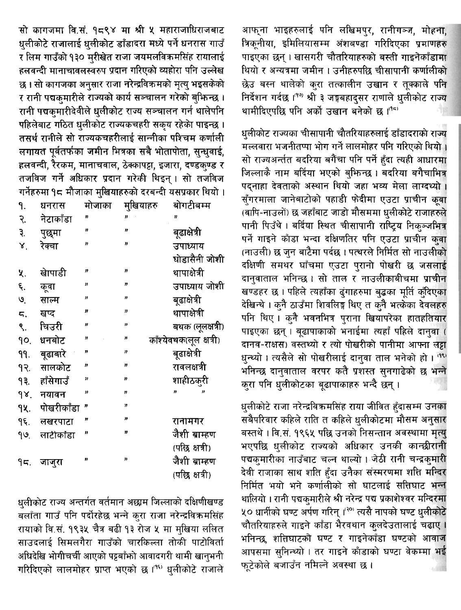आफ्ना भाइहरुलाई पनि लखिमपुर, रानीगञ्ज, मोहना, त्रिकूनीया, इमिलियासम्म अंशबण्डा गरिदिएका प्रमाणहरु पाइएका छन्। खासगरी चौतरियाहरुको बस्ती गाइनेकाँडामा थियो र अन्यत्रमा जमीन । उनीहरुपछि चीसापानी कर्णालीको छेउ बस्न थालेको कुरा तत्कालीन उखान र तुक्काले पनि निर्देशन गर्दछ ।<sup>(१७)</sup> श्री ३ जङ्गबहादसर राणाले धुलीकोट राज्य थामीदिएपछि पनि अर्को उखान बनेको छ।(15)

धुलीकोट राज्यका चीसापानी चौतरियाहरुलाई डाँडादराको राज्य मल्लवारा भजनीतप्पा भोग गर्ने लालमोहर पनि गरिएको थियो। सो राज्यअर्न्तत बदरिया बगैंचा पनि पर्ने हुँदा त्यही आधारमा जिल्लाकै नाम बर्दिया भएको बुफिन्छ । बदरिया बगैचाभित्र पद्नाहा देवताको अस्थान थियो जहा भव्य मेला लाग्दथ्यो। सुँगरमाला जानेबाटोको पहाडी फेदीमा एउटा प्राचीन कुवा (वापि-नाउलों) छ जहाँबाट जाडो मौसममा धुलीकोटे राजाहरुले पानी पिउँथे। बर्दिया स्थित चीसापानी राष्ट्रिय निक्ञ्जभित्र पर्ने गाइने काँडा भन्दा दक्षिणतिर पनि एउटा प्राचीन कुवा (नाउली) छ जन बाटैमा पर्दछ । पत्थरले निर्मित सो नाउलीको दक्षिणी समथर घाँचमा एउटा पुरानो पोखरी छ जसलाई दानुवाताल भनिन्छ । सो ताल र नाउलीकाबीचमा प्राचीन खण्डहर छ। पहिले त्यहाँका दंगाहरुमा बुद्धका मूर्ति क्वैदएका देखिन्थे । कुनै ठाउँमा शिवलिङ्ग थिए त कुनै भत्केका देवलहरु पनि थिए । कुनै भवनभित्र पुराना खियापरेका हातहतियार पाइएका छन् । बूढापाकाको भनाईमा त्यहाँ पहिले दानुवा ( दानव-राक्षस) वस्तथ्यो र त्यो पोखरीको पानीमा आफ्ना लट्टा धुन्थ्यो । त्यसैले सो पोखरीलाई दान्**वा ताल भनेको हो** । <sup>तरु</sup> भनिन्छ दानुवाताल वरपर कतै प्रशस्त सुनगाढेको छ भन्ने करा पनि धलीकोटका बूढापाकाहरु भन्दै छन्।

धुलीकोटे राजा नरेन्द्रविक्रमसिंह राया जीवित हुँदासम्म उनका सबैपरिवार कहिले राति त कहिले धुलीकोटमा मौसम अनुसार बस्तथे । वि.सं. १९६५ पछि उनको निसन्तान अवस्थामा मृत्य् भएपछि धुलीकोट राज्यको अधिकार उनकी कान्छीरानी पद्यकुमारीका नाउँबाट चल्न थाल्यो। जेठी रानी चन्द्रकुमारी देवी राजाका साथ शति हुँदा उनैका संस्मरणमा शति मन्दिर निर्मित भयो भने कर्णालीको सो घाटलाई सत्तिघाट भन्न थालियो । रानी पद्यकुमारीले श्री नरेन्द्र पद्य प्रकाशेश्वर मन्दिरमा ५० धार्नीको घण्ट अर्पण गरिन् ।<sup>२०</sup> त्यसै नापको घण्ट धुलीकोटे चौतरियाहरुले गाइने काँडा भैरवथान कुलदेउतालाई चढाए । भनिन्छ, शतिघाटको घण्ट र गाइनेकाँडा घण्टको आवाज आपसमा सुनिन्थ्यो । तर गाइने काँडाको घण्टा वेकम्मा भई फूटेकोले बजाउँन नमिल्ने अवस्था छ।

सो कागजमा वि.सं. १८९४ मा श्री १ महाराजाधिराजबाट धुलीकोटे राजालाई धुलीकोट डाँडादरा मध्ये पर्ने धनरास गाउँ र लिम गाउँको १३० मुरीखेत राजा जयमलविकमसिंह रायालाई हलवन्दी मानाचावलस्वरुप प्रदान गरिएको व्यहोरा पनि उल्लेख छ । सो कागजका अनुसार राजा नरेन्द्रविक्रमको मृत्यु भइसकेको र रानी पद्यकुमारीले राज्यको कार्य सञ्चालन गरेको बुफिन्छ । रानी पद्यकुमारीदेवीले धलीकोट राज्य सञ्चालन गर्न थालेपनि पहिलेबाट गठित धुलीकोट राज्यकचहरी सकृय रहेको पाइन्छ । तसर्थ रानीले सो राज्यकचहरीलाई सान्नीका पश्चिम कर्णाली लगायत पूर्वतर्फका जमीन भित्रका सबै भोतापोता, सन्धवाई, हलवन्दी, रैरकम, मानाचवाल, ठेक्कापट्टा, इजारा, दण्डक्ण्ड र तजविज गर्ने अधिकार प्रदान गरेकी थिइन। सो तजविज गर्नेहरुमा १८ मौजाका मुखियाहरुको दरबन्दी यसप्रकार थियो ।

| ٩.                          | धनरास      | मोजाका              | मुखियाहरु         | बोगटीबम्म               |
|-----------------------------|------------|---------------------|-------------------|-------------------------|
| २.                          | नेटाकाँडा  | ŋ                   | ,,                | "                       |
| ३.                          | पुछुमा     | Ħ                   | Ħ                 | बुढाक्षेत्री            |
| Χ.                          | रेक्चा     | n                   | n                 | उपाध्याय                |
|                             |            |                     |                   | घोडासैनी जोशी           |
| ५.                          | खापाडी     | Ħ                   | n                 | थापाक्षेत्री            |
| ६.                          | कूवा       | "                   | n                 | उपाध्याय जोशी           |
| $\mathcal{O}_{\mathcal{L}}$ | साल्म      | "                   | n                 | बढाक्षेत्री             |
| ς.                          | खप्द       | $\boldsymbol{\eta}$ | ,,                | थापाक्षेत्री            |
| ९.                          | चिउरी      | Ħ                   | D                 | बथक (लूलक्षत्री)        |
| 90.                         | धनबोट      | "                   | н                 | काँश्येवथक(लूल क्षत्री) |
| 99.                         | बुढाबारे   | 33                  | n                 | बुढाक्षेत्री            |
| 93.                         | सालकोट     | Ħ                   | Ħ                 | रावलक्षत्री             |
| 93.                         | हाँसेगाउँ  | ,,                  | n                 | शाहीठकुरी               |
| 98.                         | नयावन      | J)                  | n                 | 'n                      |
| ٩ķ.                         | पोखरीकाँडा | 33                  | $^{\prime\prime}$ |                         |
| ۹६.                         | लखरपाटा    | Ħ                   | n                 | रानामगर                 |
| <u>૧७. - </u>               | लाटीकॉडा   | ø                   | 17                | जैशी ब्राम्हण           |
|                             |            |                     |                   | (पछि क्षत्री)           |
| ٩ς.                         | जाजुरा     | IJ                  | 'n                | जैशी ब्राम्हण           |
|                             |            |                     |                   | (पछि क्षत्री)           |

धुलीकोट राज्य अन्तर्गत वर्तमान अछाम जिल्लाको दक्षिणीखण्ड बलाँता गाउँ पनि पर्दोरहेछ भन्ने कुरा राजा नरेन्द्रविक्रमसिंह रायाको वि.सं. १९३५ चैत्र बढी १३ रोज ५ मा मुखिया ललित साउदलाई सिमलगैरा गाउँको चारकिल्ला तोकी पाटोविर्ता अधिदेखि भोगीचर्ची आएको पट्टबाँफो आवादगरी थामी खान्भनी गरिदिएको लालमोहर प्राप्त भएको छ।<sup>96</sup> धुलीकोटे राजाले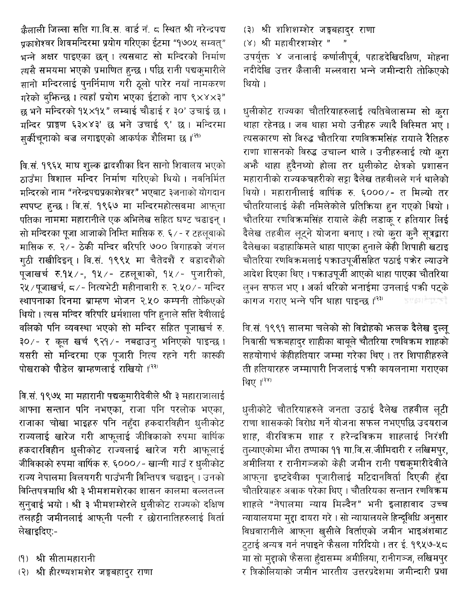क्रैलाली जिल्ला सत्ति गा.वि.स. वार्ड नं. ८ स्थित श्री नरेन्द्रपद्य पक्राशेश्वर शिवमन्दिरमा प्रयोग गरिएका ईटमा "१७०५ सम्वत्" भन्ने अक्षर पाइएका छन् । त्यसबाट सो मन्दिरको निर्माण त्यसै समयमा भएको प्रमाणित हुन्छ । पछि रानी पद्यकमारीले सानो मन्दिरलाई पुनर्निमाण गरी ठुलो पारेर नयाँ नामकरण गरेको बुफिन्छ । त्यहाँ प्रयोग भएका ईटाको नाप ९×४×३" छ भने मन्दिरको १५×१५" लम्बाई चौडाई र ३०' उचाई छ । मन्दिर प्राङ्गण ६३×४३' छ भने उचाई ९' छ। मन्दिरमा सर्कीचनाको बज्र लगाइएको आकर्षक शैलिमा छ ।<sup>(२१)</sup>

वि.सं. १९६५ माघ शुल्क द्वादशीका दिन सानो शिवालय भएको ठाउँमा विशाल मन्दिर निर्माण गरिएको थियो। नवनिर्मित मन्दिरको नाम "नरेन्द्रपद्यप्रकाशेश्वर" भएबाट ३जनाको योगदान स्पपप्ट हुन्छ। वि.सं. १९६७ मा मन्दिरमहोत्सवमा आफना पतिका नाममा महारानीले एक अभिलेख सहित घण्ट चढाइन् । सो मन्दिरका पूजा आजाको निम्ति मासिक रु. ६/- र टहलुवाको मासिक रु. २/- ठेकी मन्दिर वरिपरि ७०० विगाहको जंगल गठी राखीदिइन् । वि.सं. १९९५ मा चैतेदशैं र वडादशैंको पुजाखर्च रु.१५/-, १५/- टहलूवाको, १५/- पुजारीको, २५/पुजाखर्च, ८/- नित्यभेटी महीनावारी रु. २.५०/- मन्दिर स्थापनाका दिनमा ब्राम्हण भोजन २.५० कम्पनी तोकिएको थियो। त्यस मन्दिर वरिपरि धर्मशाला पनि हुनाले सत्ति देवीलाई वलिको पनि व्यवस्था भएको सो मन्दिर सहित पूजाखर्च रु. ३०/- र कूल खर्च ९२१/- नबढाउन् भनिएको पाइन्छ। यसरी सो मन्दिरमा एक पूजारी नित्य रहने गरी कास्की पोखराको पौडेल बाम्हणलाई राखियो ।<sup>(२२)</sup>

वि.सं. १९७५ मा महारानी पद्यक्मारीदेवीले श्री ३ महाराजालाई आफ्ना सन्तान पनि नभएका, राजा पनि परलोक भएका राजाका चोखा भाइहरु पनि नहँदा हकदारविहीन धुलीकोट राज्यलाई खारेज गरी आफूलाई जीविकाको रुपमा वार्षिक हकदारविहीन धुलीकोट राज्यलाई खारेज गरी आफूलाई जीविकाको रुपमा वार्षिक रु. ६०००/- खान्गी गाउँ र धुलीकोट राज्य नेपालमा विलयगरी पाउँभनी विन्तिपत्र चढाइन् । उनको विन्तिपत्रमाथि श्री ३ भीमशमशेरका शासन कालमा वल्लतल्ल सुनुवाई भयो । श्री ३ भीमशम्शेरले धुलीकोट राज्यको दक्षिण तलहट्टी जमीनलाई आफ्नी पत्नी र छोरानातिहरुलाई विर्ता लेखाइदिए:-

- (१) श्री सीतामहारानी
- (२) श्री हीरण्यशमशेर जङ्गबहादुर राणा

(३) श्री शशिशम्शेर जङ्गबहादुर राणा (४) श्री महावीरशम्शेर "

उपर्युक्त ४ जनालाई कर्णालीपुर्व, पहाडदेखिदक्षिण, मोहना नदीदेखि उत्तर कैलाली मल्लवारा भन्ने जमीन्दारी तोकिएको थियो ।

धुलीकोट राज्यका चौतरियाहरुलाई त्यतिबेलासम्म सो कुरा थाहा रहेनछ । जब थाहा भयो उनीहरु ज्यादै विस्मित भए । त्यसकारण सो विरुद्ध चौतरिया रणविक्रमसिंह रायाले रैतिहरु राणा शासनको विरुद्ध उचाल्न थाले। उनीहरुलाई त्यो करा अभौ थाहा हुदैनथ्यो होला तर धुलीकोट क्षेत्रको प्रशासन महारानीको राज्यकचहरीको सट्टा दैलेख तहवीलले गर्न थालेको थियो। महारानीलाई वार्षिक रु. ६०००/- त मिल्यो तर चौतरियालाई केही नमिलेकोले प्रतिक्रिया हुन गएको थियो। चौतरिया रणविक्रमसिंह रायाले केही लडाक र हतियार लिई दैलेख तहवील लूट्ने योजना बनाए। त्यो करा कनै सूत्रद्वारा दैलेखका बडाहाकिमले थाहा पाएका हुनाले केही शिपाही खटाइ चौतरिया रणविक्रमलाई पक्राउपुर्जीसहित पठाई पकेर ल्याउने आदेश दिएका थिए। पकाउपर्जी आएको थाहा पाएका चौतरिया लुक्न सफल भए । अर्का थरिको भनाईमा उनलाई पक्री पट्के कागज गराए भन्ने पनि थाहा पाइन्छ ।(२३) Rubiiși și Ducă

वि.सं. १९९१ सालमा चलेको सो विद्रोहको भन्लक दैलेख दुल्लू .<br>निवासी चकबहादुर शाहीका बाबूले चौतरिया रणविकम शाहको सहयोगार्थ केहीहतियार जम्मा गरेका थिए । तर शिपाहीहरुले ती हतियारहरु जम्मापारी निजलाई पक्री कायलनामा गराएका थिए ।<sup>(२४)</sup>

धुलीकोटे चौतरियाहरुले जनता उठाई दैलेख तहवील लूटी राणा शासकको विरोध गर्ने योजना सफल नभएपछि उदयराज शाह, वीरविकम शाह र हरेन्द्रविकम शाहलाई निरंशी तुल्याएकोमा भौंरा तप्पाका ११ गा.वि.स.जीमिदारी र लखिमपुर, अमीलिया र रानीगञ्जको केही जमीन रानी पद्यकुमारीदेवीले आफ्ना इष्टदेवीका पूजारीलाई मटिदानविर्ता दिएकी हुँदा चौतरियाहरु अवाक परेका थिए । चौतरियका सन्तान रणविक्रम शाहले "नेपालमा न्याय मिल्दैन" भनी इलाहावाद उच्च न्यायालयमा मुद्दा दायरा गरे। सो न्यायालयले हिन्दुविधि अनुसार विधवारानीले आफना खुसीले विर्ताएको जमीन भाइअंशबाट ट्टाई अन्यत्र गर्न नपाइने फैसला गरिदियो । तर ई. १९५७-५८ मा सो मद्दाको फैसला हँदासम्म अमीलिया, रानीगञ्ज, लखिमपुर र त्रिकोलियाको जमीन भारतीय उत्तरप्रदेशमा जमीन्दारी प्रथा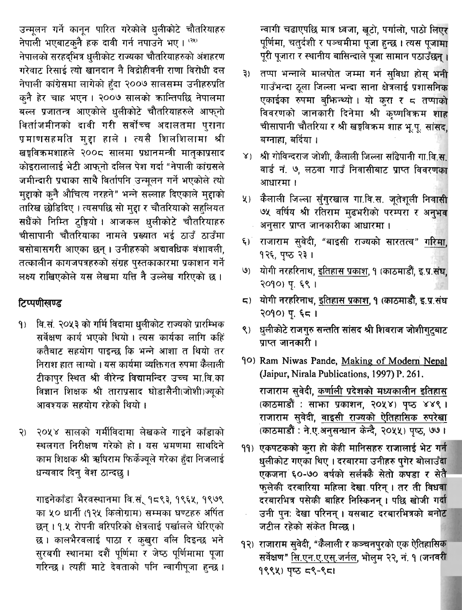उन्मुलन गर्ने कानून पारित गरेकोले धुलीकोटे चौतरियाहरु नेपाली भएबाटक्नै हक दावी गर्न नपाउने भए। (२९) नेपालको सरहदभित्र धलीकोट राज्यका चौतरियाहरुको अंशहरण गरेवाट रिसाई त्यो खानदान नै विद्रोहीवनी राणा विरोधी दल नेपाली कांग्रेसमा लागेको हुँदा २००७ सालसम्म उनीहरुप्रति क्नै हेर चाह भएन। २००७ सालको कान्तिपछि नेपालमा बल्ल प्रजातन्त्र आएकोले धलीकोटे चौतरियाहरुले आफुनो विर्ताजमीनको दावी गरी सर्वोच्च अदालतमा पुराना प्रमाणसहमति मुद्दा हाले । त्यसै शिलशिलामा श्री खङ्गविक्रमशाहले २००८ सालमा प्रधानमन्त्री मातकाप्रसाद कोइरालालाई भेटी आफनो दलिल पेश गर्दा "नेपाली कांग्रसले जमीन्दारी प्रथाका साथै विर्तापनि उन्मुलन गर्ने भएकोले त्यो मुद्दाको कुनै औचित्य नरहने" भन्ने सल्लाह दिएकाले मुद्दाको तारिख छोडिदिए । त्यसपछि सो मुद्दा र चौतरियाको सहलियत सधैंको निम्ति दृङ्गियो । आजकल धुलीकोटे चौतरियाहरु चीसापानी चौतरियाका नामले प्रख्यात भई ठाउँ ठाउँमा बसोबासगरी आएका छन्। उनीहरुको अद्यावधिक वंशावली, तत्कालीन कागजपत्रहरुको संग्रह पुस्तकाकारमा प्रकाशन गर्ने लक्ष्य राखिएकोले यस लेखमा यत्ति नै उल्लेख गरिएको छ।

# टिप्पणीखण्ड

- वि.सं. २०५३ को गर्मि विदामा धुलीकोट राज्यको प्रारम्भिक  $9)$ सर्वेक्षण कार्य भएको थियो। त्यस कार्यका लागि कहि कतैबाट सहयोग पाइन्छ कि भन्ने आशा त थियो तर निराश हात लाग्यो । यस कार्यमा व्यक्तिगत रुपमा कैलाली टीकापुर स्थित श्री वीरेन्द्र विद्यामन्दिर उच्च मा.वि.का विज्ञान शिक्षक श्री ताराप्रसाद घोडासैनी(जोशी)ज्यको आवश्यक सहयोग रहेको थियो ।
- २०५४ सालको गर्मीविदामा लेखकले गाइने काँडाको  $\mathcal{S}$ स्थलगत निरीक्षण गरेको हो। यस भ्रमणमा साथदिने काम शिक्षक श्री ऋषिराम फिर्केज्युले गरेका हुँदा निजलाई धन्यवाद दिन् वेश ठान्दछ।

गाइनेकाँडा भैरवस्थानमा वि.सं. १८९३, १९६५, १९७९ का ५० धार्नी (१२५ किलोग्राम) सम्मका घण्टहरु अर्पित छन्। १.५ रोपनी वरिपरिको क्षेत्रलाई पर्खालले घेरिएको छ । कालभैरवलाई पाठा र कुखुरा वलि दिइन्छ भने सुरबगी स्थानमा दशैं पूर्णिमा र जेष्ठ पूर्णिमामा पूजा गरिन्छ। त्यहीं माटे देवताको पनि न्वागीपूजा हुन्छ।

न्वागी चढाएपछि मात्र ध्वजा, खटो, पर्गालो, पाठो लिएर पूर्णिमा, चतुर्दशी र पञ्चमीमा पूजा हुन्छ । त्यस पूजामा पूरी पूजारा र स्थानीय बासिन्दाले पूजा सामान पठाउँछन् ।

- तप्पा भन्नाले मालपोत जम्मा गर्न सुविधा होस भनी  $\mathbf{B}$ गाउँभन्दा ठूला जिल्ला भन्दा साना क्षेत्रलाई प्रशासनिक एकाईका रुपमा बुफिन्थ्यो। यो कुरा र ८ तप्पाको विवरणको जानकारी दिनेमा श्री कृष्णविक्रम शाह चीसापानी चौतरिया र श्री खड़विक्रम शाह भू.पू. सांसद, बग्नाहा, बर्दिया ।
- ४) श्री गोविन्दराज जोशी, कैलाली जिल्ला साँढेपानी गा.वि.स. वार्ड नं. ७, लठवा गाउँ निवासीबाट प्राप्त विवरणका आधारमा ।
- कैलाली जिल्ला सुँग्**रखाल गा.वि.स. जुतेशुली निवासी**  $\mathbf{Y}$ ७५ वर्षिय श्री रतिराम मुढभरीको परम्परा र अनुभव अनुसार प्राप्त जानकारीका आधारमा ।
- राजाराम सुवेदी, "बाइसी राज्यको सारतत्व" गरिमा  $\xi)$ १२६, पृष्ठ २३।
- योगी नरहरिनाथ, इतिहास प्रकाश, १ (काठमाडौं, इ.प्र.संघ, (قا २०१०) प. ६९ ।
- ८) योगी नरहरिनाथ, इतिहास प्रकाश, १ (काठमाडौँ, इ.प्र.संघ  $2090$ ) पु. ६८ ।
- ९) धुलीकोटे राजगुरु सन्तति सांसद श्री शिवराज जोशीगटबाट प्राप्त जानकारी ।
- 90) Ram Niwas Pande, Making of Modern Nepal (Jaipur, Nirala Publications, 1997) P. 261. राजाराम सवेदी, कर्णाली प्रदेशको मध्यकालीन इतिहास (काठमाडौं : साफा प्रकाशन, २०५४) पृष्ठ ४४९। राजाराम सुवेदी, वाइसी राज्यको ऐतिहासिक रुपरेखा (काठमाडौं: ने.ए.अनुसन्धान केन्दै, २०५५) पुष्ठ, ७७।
- 99) एकपटकको करा हो केही मानिसहरु राजालाई भेट गर्न धलीकोट गएका थिए । दरबारमा उनीहरु पगेर बोलाउँदा एकजना ६०-७० वर्षको सर्लक्कै सेतो कपडा र सेतै फुलेकी दरबारिया महिला देखा परिन् । तर ती विधवा दरबारभित्र पसेकी बाहिर निस्किनन् । पछि खोजी गर्दा उनी पनः देखा परिनन् । यसबाट दरबारभित्रको बनोट जटील रहेको संकेत मिल्छ ।
- १२) राजाराम सुवेदी, "कैलाली र कञ्चनपुरको एक ऐतिहासिक सर्वेक्षण" सि.एन.ए.एस्.जर्नल, भोलुम २२, नं. १ (जनवरी १९९५) पष्ठ ८९-९८1